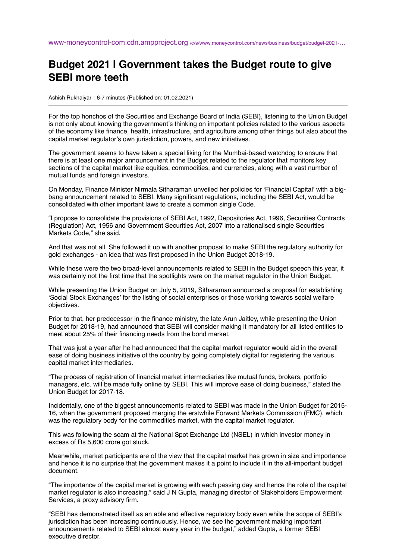## **Budget 2021 | Government takes the Budget route to give SEBI more teeth**

Ashish Rukhaiyar : 6-7 minutes (Published on: 01.02.2021)

For the top honchos of the Securities and Exchange Board of India (SEBI), listening to the Union Budget is not only about knowing the government's thinking on important policies related to the various aspects of the economy like finance, health, infrastructure, and agriculture among other things but also about the capital market regulator's own jurisdiction, powers, and new initiatives.

The government seems to have taken a special liking for the Mumbai-based watchdog to ensure that there is at least one major announcement in the Budget related to the regulator that monitors key sections of the capital market like equities, commodities, and currencies, along with a vast number of mutual funds and foreign investors.

On Monday, Finance Minister Nirmala Sitharaman unveiled her policies for 'Financial Capital' with a bigbang announcement related to SEBI. Many significant regulations, including the SEBI Act, would be consolidated with other important laws to create a common single Code.

"I propose to consolidate the provisions of SEBI Act, 1992, Depositories Act, 1996, Securities Contracts (Regulation) Act, 1956 and Government Securities Act, 2007 into a rationalised single Securities Markets Code," she said.

And that was not all. She followed it up with another proposal to make SEBI the regulatory authority for gold exchanges - an idea that was first proposed in the Union Budget 2018-19.

While these were the two broad-level announcements related to SEBI in the Budget speech this year, it was certainly not the first time that the spotlights were on the market regulator in the Union Budget.

While presenting the Union Budget on July 5, 2019, Sitharaman announced a proposal for establishing 'Social Stock Exchanges' for the listing of social enterprises or those working towards social welfare objectives.

Prior to that, her predecessor in the finance ministry, the late Arun Jaitley, while presenting the Union Budget for 2018-19, had announced that SEBI will consider making it mandatory for all listed entities to meet about 25% of their financing needs from the bond market.

That was just a year after he had announced that the capital market regulator would aid in the overall ease of doing business initiative of the country by going completely digital for registering the various capital market intermediaries.

"The process of registration of financial market intermediaries like mutual funds, brokers, portfolio managers, etc. will be made fully online by SEBI. This will improve ease of doing business," stated the Union Budget for 2017-18.

Incidentally, one of the biggest announcements related to SEBI was made in the Union Budget for 2015- 16, when the government proposed merging the erstwhile Forward Markets Commission (FMC), which was the regulatory body for the commodities market, with the capital market regulator.

This was following the scam at the National Spot Exchange Ltd (NSEL) in which investor money in excess of Rs 5,600 crore got stuck.

Meanwhile, market participants are of the view that the capital market has grown in size and importance and hence it is no surprise that the government makes it a point to include it in the all-important budget document.

"The importance of the capital market is growing with each passing day and hence the role of the capital market regulator is also increasing," said J N Gupta, managing director of Stakeholders Empowerment Services, a proxy advisory firm.

"SEBI has demonstrated itself as an able and effective regulatory body even while the scope of SEBI's jurisdiction has been increasing continuously. Hence, we see the government making important announcements related to SEBI almost every year in the budget," added Gupta, a former SEBI executive director.